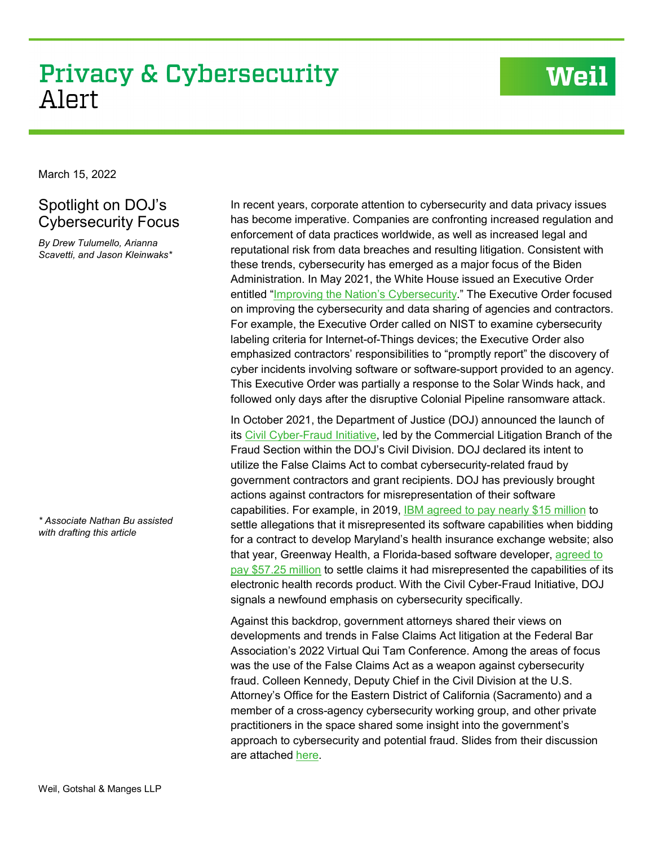## **Privacy & Cybersecurity** Alert

## **Weil**

March 15, 2022

## Spotlight on DOJ's Cybersecurity Focus

*By Drew Tulumello, Arianna Scavetti, and Jason Kleinwaks\**

*\* Associate Nathan Bu assisted with drafting this article*

In recent years, corporate attention to cybersecurity and data privacy issues has become imperative. Companies are confronting increased regulation and enforcement of data practices worldwide, as well as increased legal and reputational risk from data breaches and resulting litigation. Consistent with these trends, cybersecurity has emerged as a major focus of the Biden Administration. In May 2021, the White House issued an Executive Order entitled ["Improving the Nation's Cybersecurity.](https://www.whitehouse.gov/briefing-room/presidential-actions/2021/05/12/executive-order-on-improving-the-nations-cybersecurity/)" The Executive Order focused on improving the cybersecurity and data sharing of agencies and contractors. For example, the Executive Order called on NIST to examine cybersecurity labeling criteria for Internet-of-Things devices; the Executive Order also emphasized contractors' responsibilities to "promptly report" the discovery of cyber incidents involving software or software-support provided to an agency. This Executive Order was partially a response to the Solar Winds hack, and followed only days after the disruptive Colonial Pipeline ransomware attack.

In October 2021, the Department of Justice (DOJ) announced the launch of its [Civil Cyber-Fraud Initiative,](https://www.justice.gov/opa/pr/deputy-attorney-general-lisa-o-monaco-announces-new-civil-cyber-fraud-initiative) led by the Commercial Litigation Branch of the Fraud Section within the DOJ's Civil Division. DOJ declared its intent to utilize the False Claims Act to combat cybersecurity-related fraud by government contractors and grant recipients. DOJ has previously brought actions against contractors for misrepresentation of their software capabilities. For example, in 2019, [IBM agreed to pay nearly \\$15 million](https://www.justice.gov/opa/pr/ibm-agrees-pay-148-million-settle-false-claims-act-allegations-related-maryland-health) to settle allegations that it misrepresented its software capabilities when bidding for a contract to develop Maryland's health insurance exchange website; also that year, Greenway Health, a Florida-based software developer, [agreed to](https://www.justice.gov/opa/pr/electronic-health-records-vendor-pay-5725-million-settle-false-claims-act-allegations)  [pay \\$57.25 million](https://www.justice.gov/opa/pr/electronic-health-records-vendor-pay-5725-million-settle-false-claims-act-allegations) to settle claims it had misrepresented the capabilities of its electronic health records product. With the Civil Cyber-Fraud Initiative, DOJ signals a newfound emphasis on cybersecurity specifically.

Against this backdrop, government attorneys shared their views on developments and trends in False Claims Act litigation at the Federal Bar Association's 2022 Virtual Qui Tam Conference. Among the areas of focus was the use of the False Claims Act as a weapon against cybersecurity fraud. Colleen Kennedy, Deputy Chief in the Civil Division at the U.S. Attorney's Office for the Eastern District of California (Sacramento) and a member of a cross-agency cybersecurity working group, and other private practitioners in the space shared some insight into the government's approach to cybersecurity and potential fraud. Slides from their discussion are attached [here.](https://www.weil.com/-/media/files/pdfs/2022/march/qui-tam-2022.pdf)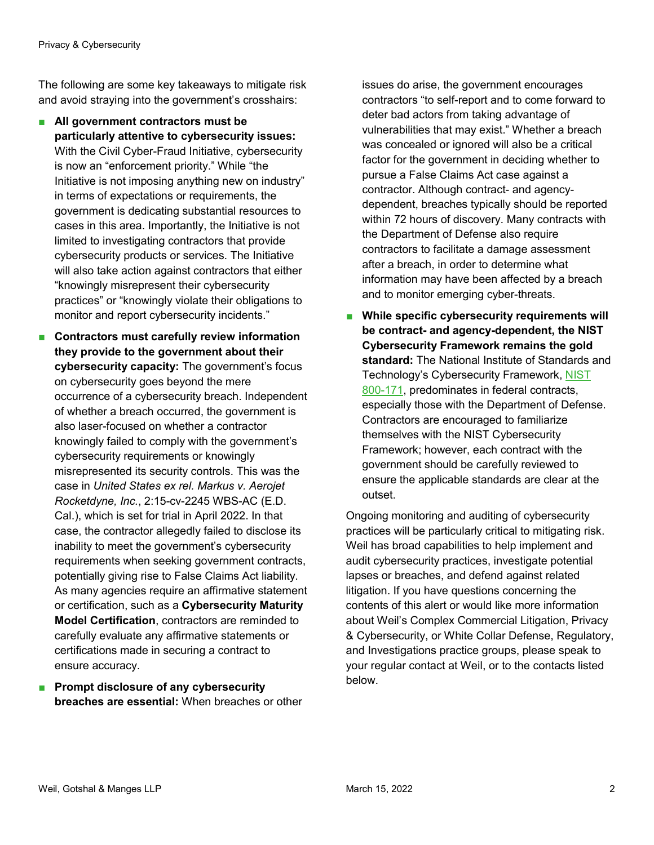The following are some key takeaways to mitigate risk and avoid straying into the government's crosshairs:

- **All government contractors must be particularly attentive to cybersecurity issues:** With the Civil Cyber-Fraud Initiative, cybersecurity is now an "enforcement priority." While "the Initiative is not imposing anything new on industry" in terms of expectations or requirements, the government is dedicating substantial resources to cases in this area. Importantly, the Initiative is not limited to investigating contractors that provide cybersecurity products or services. The Initiative will also take action against contractors that either "knowingly misrepresent their cybersecurity practices" or "knowingly violate their obligations to monitor and report cybersecurity incidents."
- **Contractors must carefully review information they provide to the government about their cybersecurity capacity:** The government's focus on cybersecurity goes beyond the mere occurrence of a cybersecurity breach. Independent of whether a breach occurred, the government is also laser-focused on whether a contractor knowingly failed to comply with the government's cybersecurity requirements or knowingly misrepresented its security controls. This was the case in *United States ex rel. Markus v. Aerojet Rocketdyne, Inc.*, 2:15-cv-2245 WBS-AC (E.D. Cal.), which is set for trial in April 2022. In that case, the contractor allegedly failed to disclose its inability to meet the government's cybersecurity requirements when seeking government contracts, potentially giving rise to False Claims Act liability. As many agencies require an affirmative statement or certification, such as a **Cybersecurity Maturity Model Certification**, contractors are reminded to carefully evaluate any affirmative statements or certifications made in securing a contract to ensure accuracy.
- **Prompt disclosure of any cybersecurity breaches are essential:** When breaches or other

issues do arise, the government encourages contractors "to self-report and to come forward to deter bad actors from taking advantage of vulnerabilities that may exist." Whether a breach was concealed or ignored will also be a critical factor for the government in deciding whether to pursue a False Claims Act case against a contractor. Although contract- and agencydependent, breaches typically should be reported within 72 hours of discovery. Many contracts with the Department of Defense also require contractors to facilitate a damage assessment after a breach, in order to determine what information may have been affected by a breach and to monitor emerging cyber-threats.

**While specific cybersecurity requirements will be contract- and agency-dependent, the NIST Cybersecurity Framework remains the gold standard:** The National Institute of Standards and Technology's Cybersecurity Framework, [NIST](https://www.nist.gov/cyberframework/framework)  [800-171,](https://www.nist.gov/cyberframework/framework) predominates in federal contracts, especially those with the Department of Defense. Contractors are encouraged to familiarize themselves with the NIST Cybersecurity Framework; however, each contract with the government should be carefully reviewed to ensure the applicable standards are clear at the outset.

Ongoing monitoring and auditing of cybersecurity practices will be particularly critical to mitigating risk. Weil has broad capabilities to help implement and audit cybersecurity practices, investigate potential lapses or breaches, and defend against related litigation. If you have questions concerning the contents of this alert or would like more information about Weil's Complex Commercial Litigation, Privacy & Cybersecurity, or White Collar Defense, Regulatory, and Investigations practice groups, please speak to your regular contact at Weil, or to the contacts listed below.